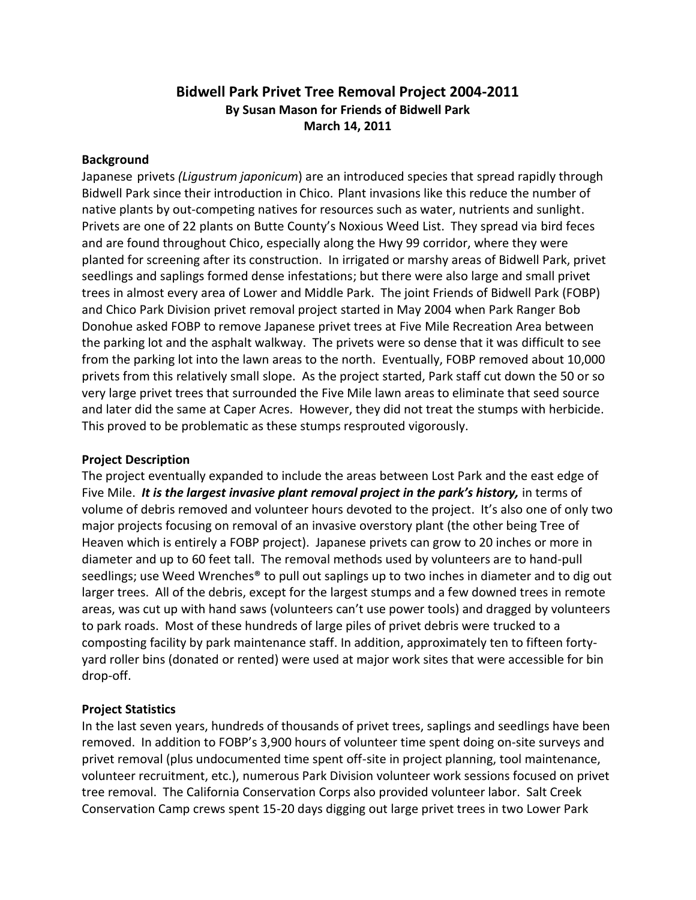# **Bidwell Park Privet Tree Removal Project 2004-2011 By Susan Mason for Friends of Bidwell Park March 14, 2011**

#### **Background**

Japanese privets *(Ligustrum japonicum*) are an introduced species that spread rapidly through Bidwell Park since their introduction in Chico. Plant invasions like this reduce the number of native plants by out-competing natives for resources such as water, nutrients and sunlight. Privets are one of 22 plants on Butte County's Noxious Weed List. They spread via bird feces and are found throughout Chico, especially along the Hwy 99 corridor, where they were planted for screening after its construction. In irrigated or marshy areas of Bidwell Park, privet seedlings and saplings formed dense infestations; but there were also large and small privet trees in almost every area of Lower and Middle Park. The joint Friends of Bidwell Park (FOBP) and Chico Park Division privet removal project started in May 2004 when Park Ranger Bob Donohue asked FOBP to remove Japanese privet trees at Five Mile Recreation Area between the parking lot and the asphalt walkway. The privets were so dense that it was difficult to see from the parking lot into the lawn areas to the north. Eventually, FOBP removed about 10,000 privets from this relatively small slope. As the project started, Park staff cut down the 50 or so very large privet trees that surrounded the Five Mile lawn areas to eliminate that seed source and later did the same at Caper Acres. However, they did not treat the stumps with herbicide. This proved to be problematic as these stumps resprouted vigorously.

#### **Project Description**

The project eventually expanded to include the areas between Lost Park and the east edge of Five Mile. *It is the largest invasive plant removal project in the park's history,* in terms of volume of debris removed and volunteer hours devoted to the project. It's also one of only two major projects focusing on removal of an invasive overstory plant (the other being Tree of Heaven which is entirely a FOBP project). Japanese privets can grow to 20 inches or more in diameter and up to 60 feet tall. The removal methods used by volunteers are to hand-pull seedlings; use Weed Wrenches® to pull out saplings up to two inches in diameter and to dig out larger trees. All of the debris, except for the largest stumps and a few downed trees in remote areas, was cut up with hand saws (volunteers can't use power tools) and dragged by volunteers to park roads. Most of these hundreds of large piles of privet debris were trucked to a composting facility by park maintenance staff. In addition, approximately ten to fifteen fortyyard roller bins (donated or rented) were used at major work sites that were accessible for bin drop-off.

## **Project Statistics**

In the last seven years, hundreds of thousands of privet trees, saplings and seedlings have been removed. In addition to FOBP's 3,900 hours of volunteer time spent doing on-site surveys and privet removal (plus undocumented time spent off-site in project planning, tool maintenance, volunteer recruitment, etc.), numerous Park Division volunteer work sessions focused on privet tree removal. The California Conservation Corps also provided volunteer labor. Salt Creek Conservation Camp crews spent 15-20 days digging out large privet trees in two Lower Park